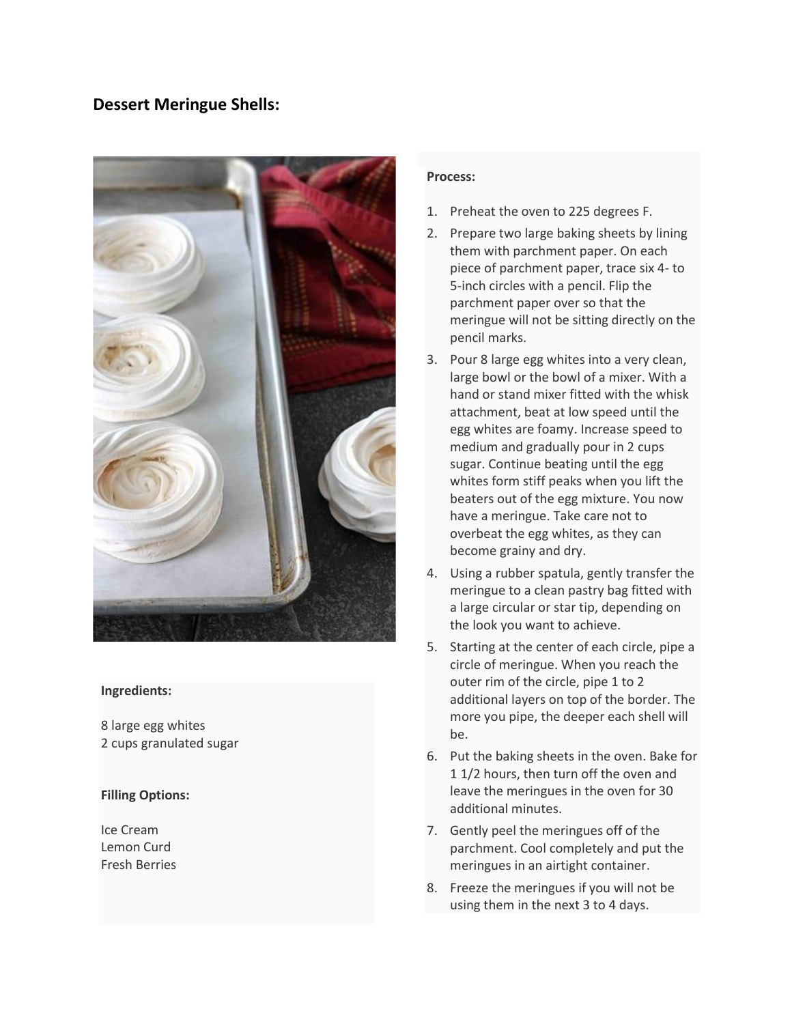## **Dessert Meringue Shells:**



#### **Ingredients:**

8 large egg whites 2 cups granulated sugar

#### **Filling Options:**

Ice Cream Lemon Curd Fresh Berries

#### **Process:**

- 1. Preheat the oven to 225 degrees F.
- 2. Prepare two large baking sheets by lining them with parchment paper. On each piece of parchment paper, trace six 4- to 5-inch circles with a pencil. Flip the parchment paper over so that the meringue will not be sitting directly on the pencil marks.
- 3. Pour 8 large egg whites into a very clean, large bowl or the bowl of a mixer. With a hand or stand mixer fitted with the whisk attachment, beat at low speed until the egg whites are foamy. Increase speed to medium and gradually pour in 2 cups sugar. Continue beating until the egg whites form stiff peaks when you lift the beaters out of the egg mixture. You now have a meringue. Take care not to overbeat the egg whites, as they can become grainy and dry.
- 4. Using a rubber spatula, gently transfer the meringue to a clean pastry bag fitted with a large circular or star tip, depending on the look you want to achieve.
- 5. Starting at the center of each circle, pipe a circle of meringue. When you reach the outer rim of the circle, pipe 1 to 2 additional layers on top of the border. The more you pipe, the deeper each shell will be.
- 6. Put the baking sheets in the oven. Bake for 1 1/2 hours, then turn off the oven and leave the meringues in the oven for 30 additional minutes.
- 7. Gently peel the meringues off of the parchment. Cool completely and put the meringues in an airtight container.
- 8. Freeze the meringues if you will not be using them in the next 3 to 4 days.